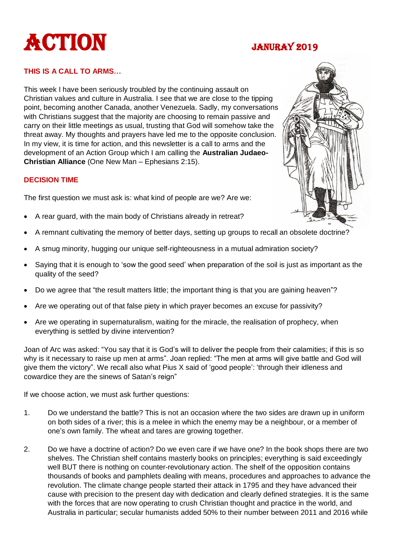# ACTION JANURAY 2019

# **THIS IS A CALL TO ARMS…**

This week I have been seriously troubled by the continuing assault on Christian values and culture in Australia. I see that we are close to the tipping point, becoming another Canada, another Venezuela. Sadly, my conversations with Christians suggest that the majority are choosing to remain passive and carry on their little meetings as usual, trusting that God will somehow take the threat away. My thoughts and prayers have led me to the opposite conclusion. In my view, it is time for action, and this newsletter is a call to arms and the development of an Action Group which I am calling the **Australian Judaeo-Christian Alliance** (One New Man – Ephesians 2:15).

### **DECISION TIME**

The first question we must ask is: what kind of people are we? Are we:

- A rear guard, with the main body of Christians already in retreat?
- A remnant cultivating the memory of better days, setting up groups to recall an obsolete doctrine?
- A smug minority, hugging our unique self-righteousness in a mutual admiration society?
- Saying that it is enough to 'sow the good seed' when preparation of the soil is just as important as the quality of the seed?
- Do we agree that "the result matters little; the important thing is that you are gaining heaven"?
- Are we operating out of that false piety in which prayer becomes an excuse for passivity?
- Are we operating in supernaturalism, waiting for the miracle, the realisation of prophecy, when everything is settled by divine intervention?

Joan of Arc was asked: "You say that it is God's will to deliver the people from their calamities; if this is so why is it necessary to raise up men at arms". Joan replied: "The men at arms will give battle and God will give them the victory". We recall also what Pius X said of 'good people': 'through their idleness and cowardice they are the sinews of Satan's reign"

If we choose action, we must ask further questions:

- 1. Do we understand the battle? This is not an occasion where the two sides are drawn up in uniform on both sides of a river; this is a melee in which the enemy may be a neighbour, or a member of one's own family. The wheat and tares are growing together.
- 2. Do we have a doctrine of action? Do we even care if we have one? In the book shops there are two shelves. The Christian shelf contains masterly books on principles; everything is said exceedingly well BUT there is nothing on counter-revolutionary action. The shelf of the opposition contains thousands of books and pamphlets dealing with means, procedures and approaches to advance the revolution. The climate change people started their attack in 1795 and they have advanced their cause with precision to the present day with dedication and clearly defined strategies. It is the same with the forces that are now operating to crush Christian thought and practice in the world, and Australia in particular; secular humanists added 50% to their number between 2011 and 2016 while